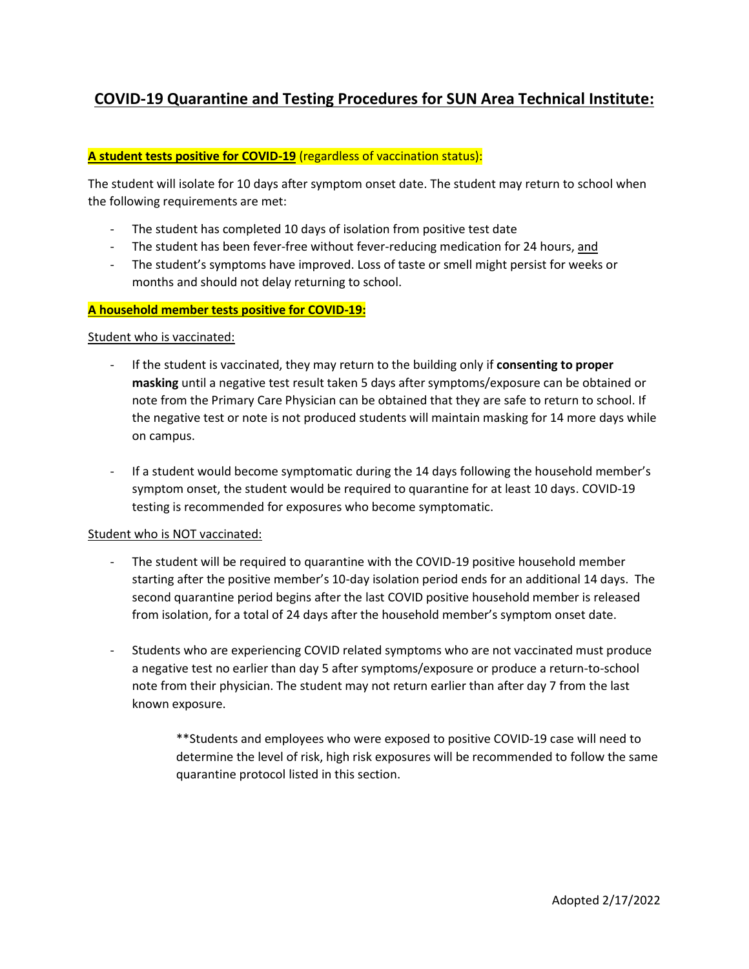# **COVID-19 Quarantine and Testing Procedures for SUN Area Technical Institute:**

## **A student tests positive for COVID-19** (regardless of vaccination status):

The student will isolate for 10 days after symptom onset date. The student may return to school when the following requirements are met:

- The student has completed 10 days of isolation from positive test date
- The student has been fever-free without fever-reducing medication for 24 hours, and
- The student's symptoms have improved. Loss of taste or smell might persist for weeks or months and should not delay returning to school.

#### **A household member tests positive for COVID-19:**

#### Student who is vaccinated:

- If the student is vaccinated, they may return to the building only if **consenting to proper masking** until a negative test result taken 5 days after symptoms/exposure can be obtained or note from the Primary Care Physician can be obtained that they are safe to return to school. If the negative test or note is not produced students will maintain masking for 14 more days while on campus.
- If a student would become symptomatic during the 14 days following the household member's symptom onset, the student would be required to quarantine for at least 10 days. COVID-19 testing is recommended for exposures who become symptomatic.

#### Student who is NOT vaccinated:

- The student will be required to quarantine with the COVID-19 positive household member starting after the positive member's 10-day isolation period ends for an additional 14 days. The second quarantine period begins after the last COVID positive household member is released from isolation, for a total of 24 days after the household member's symptom onset date.
- Students who are experiencing COVID related symptoms who are not vaccinated must produce a negative test no earlier than day 5 after symptoms/exposure or produce a return-to-school note from their physician. The student may not return earlier than after day 7 from the last known exposure.

\*\*Students and employees who were exposed to positive COVID-19 case will need to determine the level of risk, high risk exposures will be recommended to follow the same quarantine protocol listed in this section.